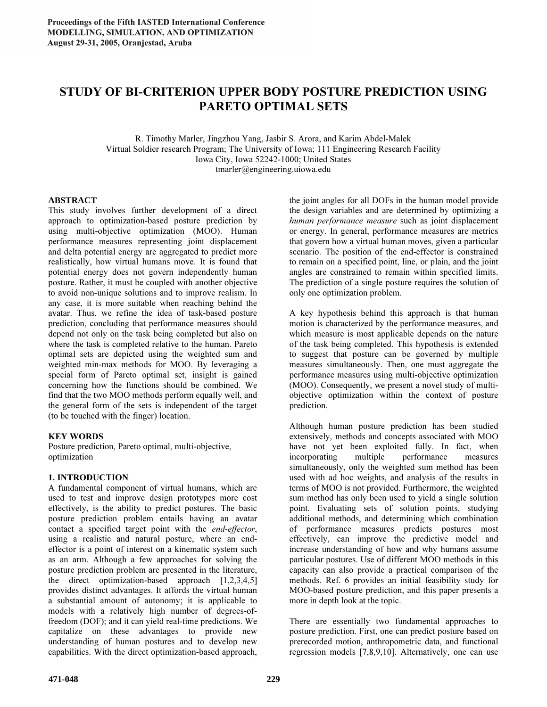# STUDY OF BI-CRITERION UPPER BODY POSTURE PREDICTION USING PARETO OPTIMAL SETS

R. Timothy Marler, Jingzhou Yang, Jasbir S. Arora, and Karim Abdel-Malek Virtual Soldier research Program; The University of Iowa; 111 Engineering Research Facility Iowa City, Iowa 52242-1000; United States tmarler@engineering.uiowa.edu

## **ABSTRACT**

This study involves further development of a direct approach to optimization-based posture prediction by using multi-objective optimization (MOO). Human performance measures representing joint displacement and delta potential energy are aggregated to predict more realistically, how virtual humans move. It is found that potential energy does not govern independently human posture. Rather, it must be coupled with another objective to avoid non-unique solutions and to improve realism. In any case, it is more suitable when reaching behind the avatar. Thus, we refine the idea of task-based posture prediction, concluding that performance measures should depend not only on the task being completed but also on where the task is completed relative to the human. Pareto optimal sets are depicted using the weighted sum and weighted min-max methods for MOO. By leveraging a special form of Pareto optimal set, insight is gained concerning how the functions should be combined. We find that the two MOO methods perform equally well, and the general form of the sets is independent of the target (to be touched with the finger) location.

# KEY WORDS

Posture prediction, Pareto optimal, multi-objective, optimization

# 1. INTRODUCTION

A fundamental component of virtual humans, which are used to test and improve design prototypes more cost effectively, is the ability to predict postures. The basic posture prediction problem entails having an avatar contact a specified target point with the end-effector, using a realistic and natural posture, where an endeffector is a point of interest on a kinematic system such as an arm. Although a few approaches for solving the posture prediction problem are presented in the literature, the direct optimization-based approach [1,2,3,4,5] provides distinct advantages. It affords the virtual human a substantial amount of autonomy; it is applicable to models with a relatively high number of degrees-offreedom (DOF); and it can yield real-time predictions. We capitalize on these advantages to provide new understanding of human postures and to develop new capabilities. With the direct optimization-based approach, the joint angles for all DOFs in the human model provide the design variables and are determined by optimizing a human performance measure such as joint displacement or energy. In general, performance measures are metrics that govern how a virtual human moves, given a particular scenario. The position of the end-effector is constrained to remain on a specified point, line, or plain, and the joint angles are constrained to remain within specified limits. The prediction of a single posture requires the solution of only one optimization problem.

A key hypothesis behind this approach is that human motion is characterized by the performance measures, and which measure is most applicable depends on the nature of the task being completed. This hypothesis is extended to suggest that posture can be governed by multiple measures simultaneously. Then, one must aggregate the performance measures using multi-objective optimization (MOO). Consequently, we present a novel study of multiobjective optimization within the context of posture prediction.

Although human posture prediction has been studied extensively, methods and concepts associated with MOO have not yet been exploited fully. In fact, when incorporating multiple performance measures simultaneously, only the weighted sum method has been used with ad hoc weights, and analysis of the results in terms of MOO is not provided. Furthermore, the weighted sum method has only been used to yield a single solution point. Evaluating sets of solution points, studying additional methods, and determining which combination of performance measures predicts postures most effectively, can improve the predictive model and increase understanding of how and why humans assume particular postures. Use of different MOO methods in this capacity can also provide a practical comparison of the methods. Ref. 6 provides an initial feasibility study for MOO-based posture prediction, and this paper presents a more in depth look at the topic.

There are essentially two fundamental approaches to posture prediction. First, one can predict posture based on prerecorded motion, anthropometric data, and functional regression models [7,8,9,10]. Alternatively, one can use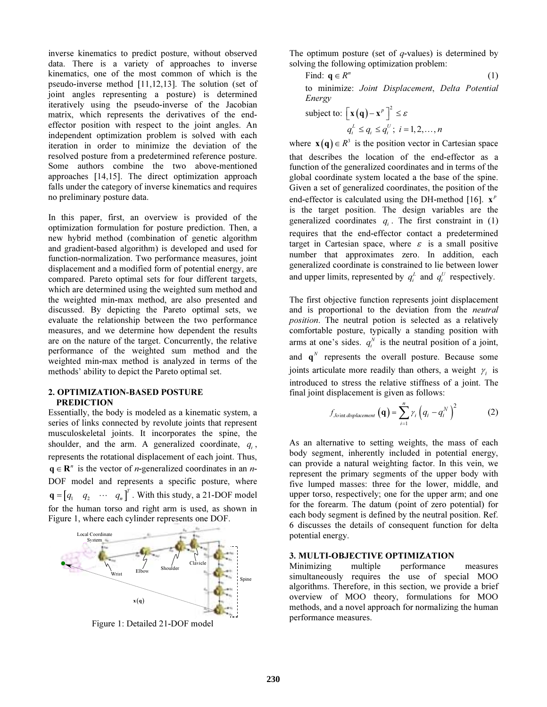inverse kinematics to predict posture, without observed data. There is a variety of approaches to inverse kinematics, one of the most common of which is the pseudo-inverse method [11,12,13]. The solution (set of joint angles representing a posture) is determined iteratively using the pseudo-inverse of the Jacobian matrix, which represents the derivatives of the endeffector position with respect to the joint angles. An independent optimization problem is solved with each iteration in order to minimize the deviation of the resolved posture from a predetermined reference posture. Some authors combine the two above-mentioned approaches [14,15]. The direct optimization approach falls under the category of inverse kinematics and requires no preliminary posture data.

In this paper, first, an overview is provided of the optimization formulation for posture prediction. Then, a new hybrid method (combination of genetic algorithm and gradient-based algorithm) is developed and used for function-normalization. Two performance measures, joint displacement and a modified form of potential energy, are compared. Pareto optimal sets for four different targets, which are determined using the weighted sum method and the weighted min-max method, are also presented and discussed. By depicting the Pareto optimal sets, we evaluate the relationship between the two performance measures, and we determine how dependent the results are on the nature of the target. Concurrently, the relative performance of the weighted sum method and the weighted min-max method is analyzed in terms of the methods' ability to depict the Pareto optimal set.

## 2. OPTIMIZATION-BASED POSTURE PREDICTION

Essentially, the body is modeled as a kinematic system, a series of links connected by revolute joints that represent musculoskeletal joints. It incorporates the spine, the shoulder, and the arm. A generalized coordinate,  $q_i$ , represents the rotational displacement of each joint. Thus,  $\mathbf{q} \in \mathbf{R}^n$  is the vector of *n*-generalized coordinates in an *n*-DOF model and represents a specific posture, where  $\mathbf{q} = \begin{bmatrix} q_1 & q_2 & \cdots & q_n \end{bmatrix}^T$ . With this study, a 21-DOF model for the human torso and right arm is used, as shown in Figure 1, where each cylinder represents one DOF.



Figure 1: Detailed 21-DOF model

The optimum posture (set of  $q$ -values) is determined by solving the following optimization problem:

Find: 
$$
\mathbf{q} \in R^n
$$
 (1)

to minimize: Joint Displacement, Delta Potential Energy

subject to: 
$$
\left[\mathbf{x}(\mathbf{q}) - \mathbf{x}^{p}\right]^{2} \leq \varepsilon
$$

$$
q_{i}^{L} \leq q_{i} \leq q_{i}^{U}; i = 1, 2, ..., n
$$

where  $\mathbf{x}(\mathbf{q}) \in R^3$  is the position vector in Cartesian space that describes the location of the end-effector as a function of the generalized coordinates and in terms of the global coordinate system located a the base of the spine. Given a set of generalized coordinates, the position of the end-effector is calculated using the DH-method [16].  $\mathbf{x}^p$ is the target position. The design variables are the generalized coordinates  $q_i$ . The first constraint in (1) requires that the end-effector contact a predetermined target in Cartesian space, where  $\varepsilon$  is a small positive number that approximates zero. In addition, each generalized coordinate is constrained to lie between lower and upper limits, represented by  $q_i^L$  and  $q_i^U$  respectively.

The first objective function represents joint displacement and is proportional to the deviation from the neutral position. The neutral potion is selected as a relatively comfortable posture, typically a standing position with arms at one's sides.  $q_i^N$  is the neutral position of a joint, and  $\mathbf{q}^N$  represents the overall posture. Because some joints articulate more readily than others, a weight  $\gamma_i$  is introduced to stress the relative stiffness of a joint. The final joint displacement is given as follows:

$$
f_{Joint\,\text{displacement}}\left(\mathbf{q}\right) = \sum_{i=1}^{n} \gamma_i \left(q_i - q_i^N\right)^2 \tag{2}
$$

As an alternative to setting weights, the mass of each body segment, inherently included in potential energy, can provide a natural weighting factor. In this vein, we represent the primary segments of the upper body with five lumped masses: three for the lower, middle, and upper torso, respectively; one for the upper arm; and one for the forearm. The datum (point of zero potential) for each body segment is defined by the neutral position. Ref. 6 discusses the details of consequent function for delta potential energy.

#### 3. MULTI-OBJECTIVE OPTIMIZATION

Minimizing multiple performance measures simultaneously requires the use of special MOO algorithms. Therefore, in this section, we provide a brief overview of MOO theory, formulations for MOO methods, and a novel approach for normalizing the human performance measures.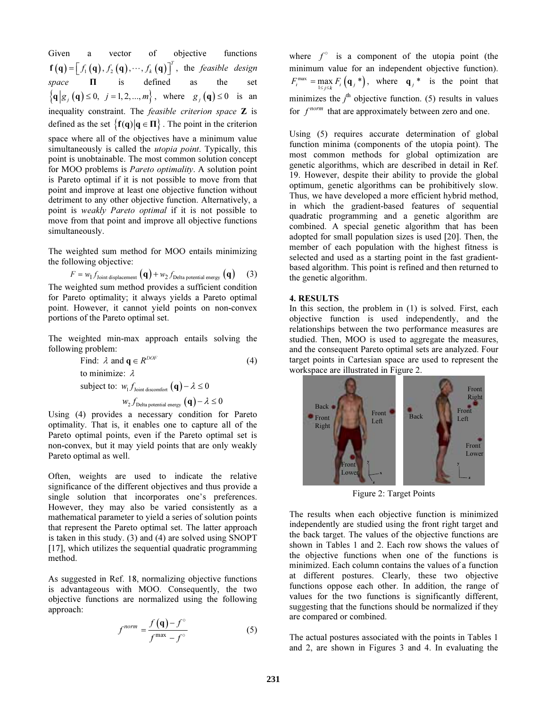Given a vector of objective functions  $\mathbf{f}(\mathbf{q}) = [f_1(\mathbf{q}), f_2(\mathbf{q}), \cdots, f_k(\mathbf{q})]^T$ , the *feasible design* space  $\Pi$  is defined as the set  $\{q | g_i(q) \le 0, j = 1, 2, ..., m\}$ , where  $g_i(q) \le 0$  is an inequality constraint. The *feasible criterion space* Z is defined as the set  $\{f(q) | q \in \Pi\}$ . The point in the criterion space where all of the objectives have a minimum value simultaneously is called the *utopia point*. Typically, this point is unobtainable. The most common solution concept for MOO problems is Pareto optimality. A solution point is Pareto optimal if it is not possible to move from that point and improve at least one objective function without detriment to any other objective function. Alternatively, a point is weakly Pareto optimal if it is not possible to move from that point and improve all objective functions simultaneously.

The weighted sum method for MOO entails minimizing the following objective:

$$
F = w_1 f_{\text{Joint displacement}} \left( \mathbf{q} \right) + w_2 f_{\text{Delta potential energy}} \left( \mathbf{q} \right)
$$
 (3)  
The weighted sum method provides a sufficient condition  
for Pareto optimality; it always yields a Pareto optimal  
point. However, it cannot yield points on non-convex  
portions of the Pareto optimal set.

The weighted min-max approach entails solving the following problem:

Find: 
$$
\lambda
$$
 and  $\mathbf{q} \in R^{DOF}$  (4)  
to minimize:  $\lambda$   
subject to:  $w_1 f_{\text{joint discount}}$  ( $\mathbf{q}$ )  $-\lambda \le 0$   
 $w_2 f_{\text{Delta potential energy}}$  ( $\mathbf{q}$ )  $-\lambda \le 0$ 

Using (4) provides a necessary condition for Pareto optimality. That is, it enables one to capture all of the Pareto optimal points, even if the Pareto optimal set is non-convex, but it may yield points that are only weakly Pareto optimal as well.

Often, weights are used to indicate the relative significance of the different objectives and thus provide a single solution that incorporates one's preferences. However, they may also be varied consistently as a mathematical parameter to yield a series of solution points that represent the Pareto optimal set. The latter approach is taken in this study. (3) and (4) are solved using SNOPT [17], which utilizes the sequential quadratic programming method.

As suggested in Ref. 18, normalizing objective functions is advantageous with MOO. Consequently, the two objective functions are normalized using the following approach:

$$
f^{norm} = \frac{f(\mathbf{q}) - f^{\circ}}{f^{max} - f^{\circ}}
$$
 (5)

where  $f^{\circ}$  is a component of the utopia point (the minimum value for an independent objective function).  $F_i^{\max} = \max_{1 \le j \le k} F_i(\mathbf{q}_j^*)$ , where  $\mathbf{q}_j^*$  is the point that minimizes the  $j<sup>th</sup>$  objective function. (5) results in values for  $f^{norm}$  that are approximately between zero and one.

Using (5) requires accurate determination of global function minima (components of the utopia point). The most common methods for global optimization are genetic algorithms, which are described in detail in Ref. 19. However, despite their ability to provide the global optimum, genetic algorithms can be prohibitively slow. Thus, we have developed a more efficient hybrid method, in which the gradient-based features of sequential quadratic programming and a genetic algorithm are combined. A special genetic algorithm that has been adopted for small population sizes is used [20]. Then, the member of each population with the highest fitness is selected and used as a starting point in the fast gradientbased algorithm. This point is refined and then returned to the genetic algorithm.

#### 4. RESULTS

In this section, the problem in (1) is solved. First, each objective function is used independently, and the relationships between the two performance measures are studied. Then, MOO is used to aggregate the measures, and the consequent Pareto optimal sets are analyzed. Four target points in Cartesian space are used to represent the workspace are illustrated in Figure 2.



Figure 2: Target Points

The results when each objective function is minimized independently are studied using the front right target and the back target. The values of the objective functions are shown in Tables 1 and 2. Each row shows the values of the objective functions when one of the functions is minimized. Each column contains the values of a function at different postures. Clearly, these two objective functions oppose each other. In addition, the range of values for the two functions is significantly different, suggesting that the functions should be normalized if they are compared or combined.

The actual postures associated with the points in Tables 1 and 2, are shown in Figures 3 and 4. In evaluating the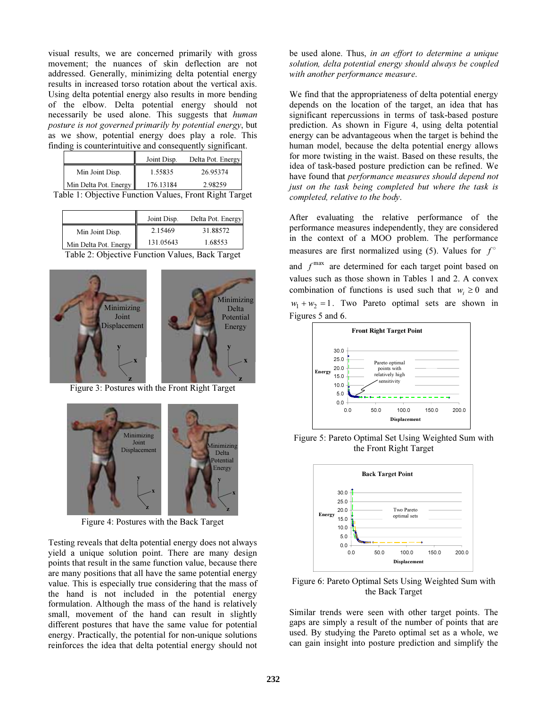visual results, we are concerned primarily with gross movement; the nuances of skin deflection are not addressed. Generally, minimizing delta potential energy results in increased torso rotation about the vertical axis. Using delta potential energy also results in more bending of the elbow. Delta potential energy should not necessarily be used alone. This suggests that *human* posture is not governed primarily by potential energy, but as we show, potential energy does play a role. This finding is counterintuitive and consequently significant.

|                       | Joint Disp. | Delta Pot. Energy |
|-----------------------|-------------|-------------------|
| Min Joint Disp.       | 1.55835     | 26.95374          |
| Min Delta Pot. Energy | 176.13184   | 2.98259           |

Table 1: Objective Function Values, Front Right Target

|                       | Joint Disp. | Delta Pot. Energy |
|-----------------------|-------------|-------------------|
| Min Joint Disp.       | 2.15469     | 31.88572          |
| Min Delta Pot. Energy | 131.05643   | 1.68553           |
| - - - -               |             |                   |

**Table 2: Objective Function Values, Back Target** 



Figure 3: Postures with the Front Right Target



Figure 4: Postures with the Back Target

Testing reveals that delta potential energy does not always yield a unique solution point. There are many design points that result in the same function value, because there are many positions that all have the same potential energy value. This is especially true considering that the mass of the hand is not included in the potential energy formulation. Although the mass of the hand is relatively small, movement of the hand can result in slightly different postures that have the same value for potential energy. Practically, the potential for non-unique solutions reinforces the idea that delta potential energy should not

be used alone. Thus, in an effort to determine a unique solution, delta potential energy should always be coupled with another performance measure.

We find that the appropriateness of delta potential energy depends on the location of the target, an idea that has significant repercussions in terms of task-based posture prediction. As shown in Figure 4, using delta potential energy can be advantageous when the target is behind the human model, because the delta potential energy allows for more twisting in the waist. Based on these results, the idea of task-based posture prediction can be refined. We have found that performance measures should depend not just on the task being completed but where the task is completed, relative to the body.

After evaluating the relative performance of the performance measures independently, they are considered in the context of a MOO problem. The performance measures are first normalized using (5). Values for  $f^{\circ}$ and  $f^{\text{max}}$  are determined for each target point based on values such as those shown in Tables 1 and 2. A convex combination of functions is used such that  $w_i \ge 0$  and  $w_1 + w_2 = 1$ . Two Pareto optimal sets are shown in Figures 5 and 6.



Figure 5: Pareto Optimal Set Using Weighted Sum with the Front Right Target



Figure 6: Pareto Optimal Sets Using Weighted Sum with the Back Target

Similar trends were seen with other target points. The gaps are simply a result of the number of points that are used. By studying the Pareto optimal set as a whole, we can gain insight into posture prediction and simplify the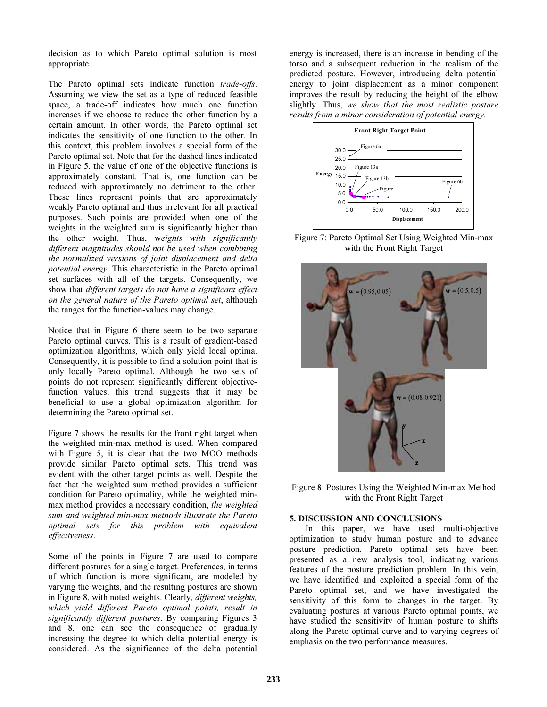decision as to which Pareto optimal solution is most appropriate.

The Pareto optimal sets indicate function trade-offs. Assuming we view the set as a type of reduced feasible space, a trade-off indicates how much one function increases if we choose to reduce the other function by a certain amount. In other words, the Pareto optimal set indicates the sensitivity of one function to the other. In this context, this problem involves a special form of the Pareto optimal set. Note that for the dashed lines indicated in Figure 5, the value of one of the objective functions is approximately constant. That is, one function can be reduced with approximately no detriment to the other. These lines represent points that are approximately weakly Pareto optimal and thus irrelevant for all practical purposes. Such points are provided when one of the weights in the weighted sum is significantly higher than the other weight. Thus, weights with significantly different magnitudes should not be used when combining the normalized versions of joint displacement and delta potential energy. This characteristic in the Pareto optimal set surfaces with all of the targets. Consequently, we show that different targets do not have a significant effect on the general nature of the Pareto optimal set, although the ranges for the function-values may change.

Notice that in Figure 6 there seem to be two separate Pareto optimal curves. This is a result of gradient-based optimization algorithms, which only yield local optima. Consequently, it is possible to find a solution point that is only locally Pareto optimal. Although the two sets of points do not represent significantly different objectivefunction values, this trend suggests that it may be beneficial to use a global optimization algorithm for determining the Pareto optimal set.

Figure 7 shows the results for the front right target when the weighted min-max method is used. When compared with Figure 5, it is clear that the two MOO methods provide similar Pareto optimal sets. This trend was evident with the other target points as well. Despite the fact that the weighted sum method provides a sufficient condition for Pareto optimality, while the weighted minmax method provides a necessary condition, the weighted sum and weighted min-max methods illustrate the Pareto optimal sets for this problem with equivalent effectiveness.

Some of the points in Figure 7 are used to compare different postures for a single target. Preferences, in terms of which function is more significant, are modeled by varying the weights, and the resulting postures are shown in Figure 8, with noted weights. Clearly, different weights, which yield different Pareto optimal points, result in significantly different postures. By comparing Figures 3 and 8, one can see the consequence of gradually increasing the degree to which delta potential energy is considered. As the significance of the delta potential

energy is increased, there is an increase in bending of the torso and a subsequent reduction in the realism of the predicted posture. However, introducing delta potential energy to joint displacement as a minor component improves the result by reducing the height of the elbow slightly. Thus, we show that the most realistic posture results from a minor consideration of potential energy.



Figure 7: Pareto Optimal Set Using Weighted Min-max with the Front Right Target



 Figure 8: Postures Using the Weighted Min-max Method with the Front Right Target

#### 5. DISCUSSION AND CONCLUSIONS

In this paper, we have used multi-objective optimization to study human posture and to advance posture prediction. Pareto optimal sets have been presented as a new analysis tool, indicating various features of the posture prediction problem. In this vein, we have identified and exploited a special form of the Pareto optimal set, and we have investigated the sensitivity of this form to changes in the target. By evaluating postures at various Pareto optimal points, we have studied the sensitivity of human posture to shifts along the Pareto optimal curve and to varying degrees of emphasis on the two performance measures.